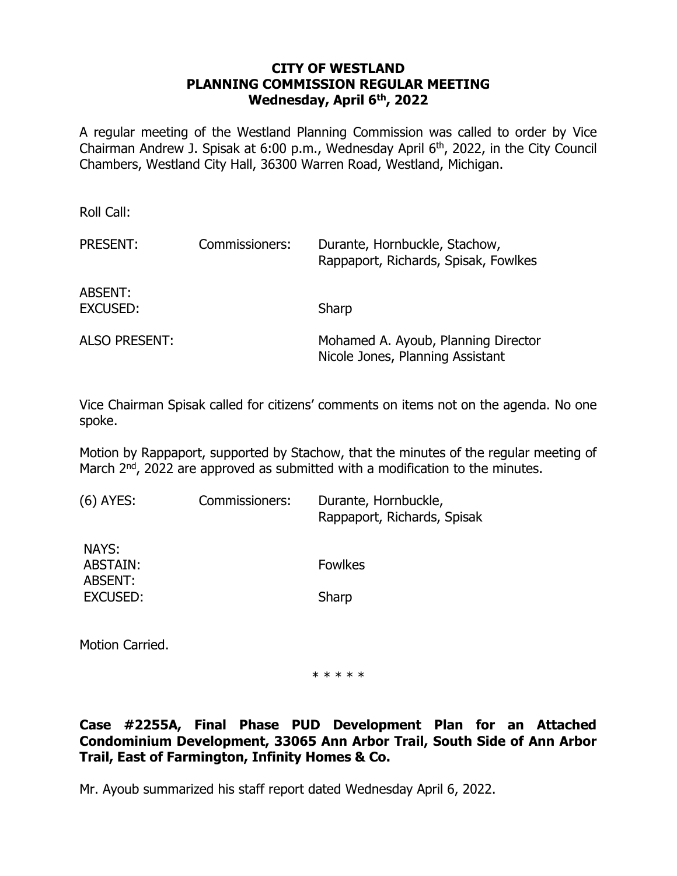### **CITY OF WESTLAND PLANNING COMMISSION REGULAR MEETING Wednesday, April 6th , 2022**

A regular meeting of the Westland Planning Commission was called to order by Vice Chairman Andrew J. Spisak at  $6:00$  p.m., Wednesday April  $6<sup>th</sup>$ , 2022, in the City Council Chambers, Westland City Hall, 36300 Warren Road, Westland, Michigan.

Roll Call: PRESENT: Commissioners: Durante, Hornbuckle, Stachow, Rappaport, Richards, Spisak, Fowlkes ABSENT: EXCUSED: Sharp ALSO PRESENT: Mohamed A. Ayoub, Planning Director Nicole Jones, Planning Assistant

Vice Chairman Spisak called for citizens' comments on items not on the agenda. No one spoke.

Motion by Rappaport, supported by Stachow, that the minutes of the regular meeting of March 2<sup>nd</sup>, 2022 are approved as submitted with a modification to the minutes.

| (6) AYES:                                | Commissioners: | Durante, Hornbuckle,<br>Rappaport, Richards, Spisak |
|------------------------------------------|----------------|-----------------------------------------------------|
| NAYS:<br>ABSTAIN:<br>ABSENT:<br>EXCUSED: |                | <b>Fowlkes</b>                                      |
|                                          |                | Sharp                                               |
|                                          |                |                                                     |

Motion Carried.

\* \* \* \* \*

# **Case #2255A, Final Phase PUD Development Plan for an Attached Condominium Development, 33065 Ann Arbor Trail, South Side of Ann Arbor Trail, East of Farmington, Infinity Homes & Co.**

Mr. Ayoub summarized his staff report dated Wednesday April 6, 2022.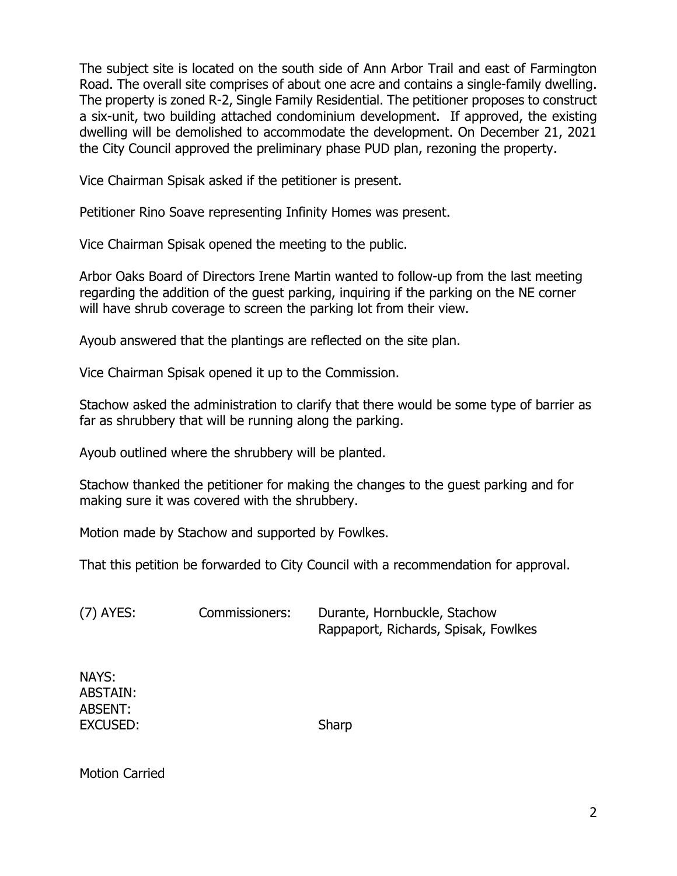The subject site is located on the south side of Ann Arbor Trail and east of Farmington Road. The overall site comprises of about one acre and contains a single-family dwelling. The property is zoned R-2, Single Family Residential. The petitioner proposes to construct a six-unit, two building attached condominium development. If approved, the existing dwelling will be demolished to accommodate the development. On December 21, 2021 the City Council approved the preliminary phase PUD plan, rezoning the property.

Vice Chairman Spisak asked if the petitioner is present.

Petitioner Rino Soave representing Infinity Homes was present.

Vice Chairman Spisak opened the meeting to the public.

Arbor Oaks Board of Directors Irene Martin wanted to follow-up from the last meeting regarding the addition of the guest parking, inquiring if the parking on the NE corner will have shrub coverage to screen the parking lot from their view.

Ayoub answered that the plantings are reflected on the site plan.

Vice Chairman Spisak opened it up to the Commission.

Stachow asked the administration to clarify that there would be some type of barrier as far as shrubbery that will be running along the parking.

Ayoub outlined where the shrubbery will be planted.

Stachow thanked the petitioner for making the changes to the guest parking and for making sure it was covered with the shrubbery.

Motion made by Stachow and supported by Fowlkes.

That this petition be forwarded to City Council with a recommendation for approval.

(7) AYES: Commissioners: Durante, Hornbuckle, Stachow Rappaport, Richards, Spisak, Fowlkes

NAYS: ABSTAIN: ABSENT: EXCUSED: Sharp

Motion Carried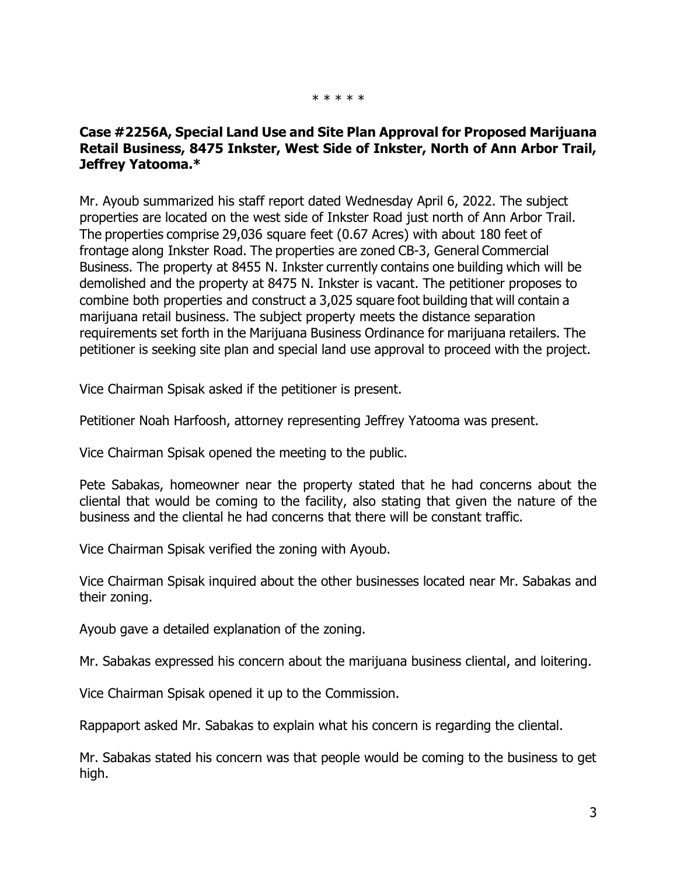#### \* \* \* \* \*

### **Case #2256A, Special Land Use and Site Plan Approval for Proposed Marijuana Retail Business, 8475 Inkster, West Side of Inkster, North of Ann Arbor Trail, Jeffrey Yatooma.\***

Mr. Ayoub summarized his staff report dated Wednesday April 6, 2022. The subject properties are located on the west side of Inkster Road just north of Ann Arbor Trail. The properties comprise 29,036 square feet (0.67 Acres) with about 180 feet of frontage along Inkster Road. The properties are zoned CB-3, General Commercial Business. The property at 8455 N. Inkster currently contains one building which will be demolished and the property at 8475 N. Inkster is vacant. The petitioner proposes to combine both properties and construct a 3,025 square foot building that will contain a marijuana retail business. The subject property meets the distance separation requirements set forth in the Marijuana Business Ordinance for marijuana retailers. The petitioner is seeking site plan and special land use approval to proceed with the project.

Vice Chairman Spisak asked if the petitioner is present.

Petitioner Noah Harfoosh, attorney representing Jeffrey Yatooma was present.

Vice Chairman Spisak opened the meeting to the public.

Pete Sabakas, homeowner near the property stated that he had concerns about the cliental that would be coming to the facility, also stating that given the nature of the business and the cliental he had concerns that there will be constant traffic.

Vice Chairman Spisak verified the zoning with Ayoub.

Vice Chairman Spisak inquired about the other businesses located near Mr. Sabakas and their zoning.

Ayoub gave a detailed explanation of the zoning.

Mr. Sabakas expressed his concern about the marijuana business cliental, and loitering.

Vice Chairman Spisak opened it up to the Commission.

Rappaport asked Mr. Sabakas to explain what his concern is regarding the cliental.

Mr. Sabakas stated his concern was that people would be coming to the business to get high.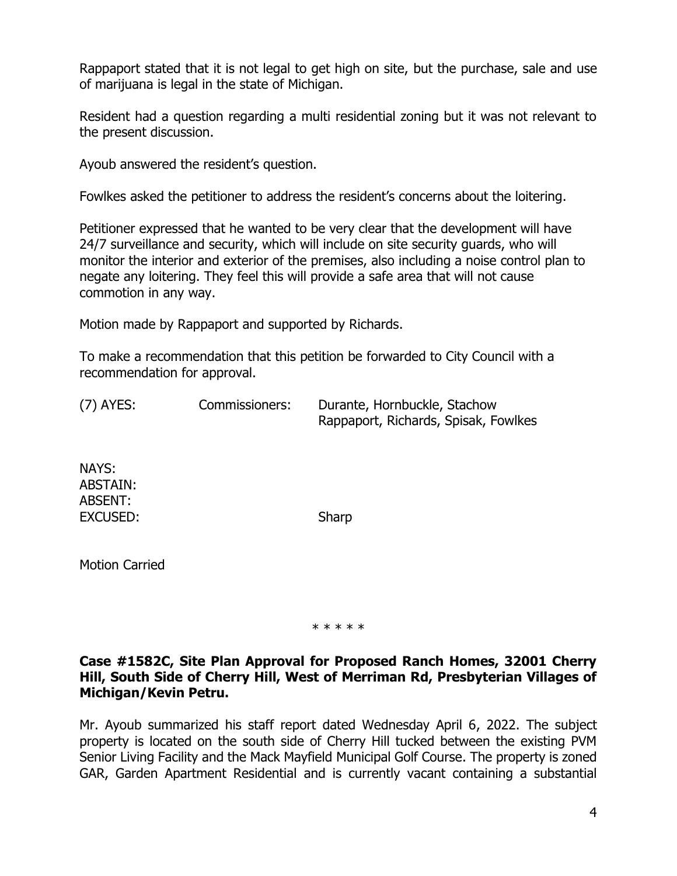Rappaport stated that it is not legal to get high on site, but the purchase, sale and use of marijuana is legal in the state of Michigan.

Resident had a question regarding a multi residential zoning but it was not relevant to the present discussion.

Ayoub answered the resident's question.

Fowlkes asked the petitioner to address the resident's concerns about the loitering.

Petitioner expressed that he wanted to be very clear that the development will have 24/7 surveillance and security, which will include on site security guards, who will monitor the interior and exterior of the premises, also including a noise control plan to negate any loitering. They feel this will provide a safe area that will not cause commotion in any way.

Motion made by Rappaport and supported by Richards.

To make a recommendation that this petition be forwarded to City Council with a recommendation for approval.

| $(7)$ AYES: | Commissioners: | Durante, Hornbuckle, Stachow         |
|-------------|----------------|--------------------------------------|
|             |                | Rappaport, Richards, Spisak, Fowlkes |

NAYS: ABSTAIN: ABSENT: EXCUSED: Sharp

Motion Carried

\* \* \* \* \*

### **Case #1582C, Site Plan Approval for Proposed Ranch Homes, 32001 Cherry Hill, South Side of Cherry Hill, West of Merriman Rd, Presbyterian Villages of Michigan/Kevin Petru.**

Mr. Ayoub summarized his staff report dated Wednesday April 6, 2022. The subject property is located on the south side of Cherry Hill tucked between the existing PVM Senior Living Facility and the Mack Mayfield Municipal Golf Course. The property is zoned GAR, Garden Apartment Residential and is currently vacant containing a substantial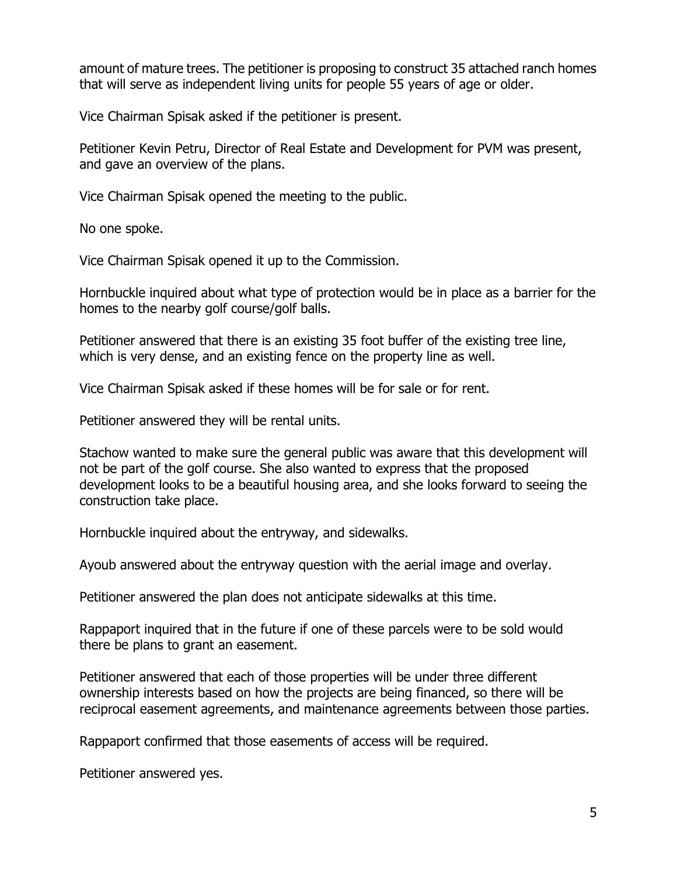amount of mature trees. The petitioner is proposing to construct 35 attached ranch homes that will serve as independent living units for people 55 years of age or older.

Vice Chairman Spisak asked if the petitioner is present.

Petitioner Kevin Petru, Director of Real Estate and Development for PVM was present, and gave an overview of the plans.

Vice Chairman Spisak opened the meeting to the public.

No one spoke.

Vice Chairman Spisak opened it up to the Commission.

Hornbuckle inquired about what type of protection would be in place as a barrier for the homes to the nearby golf course/golf balls.

Petitioner answered that there is an existing 35 foot buffer of the existing tree line, which is very dense, and an existing fence on the property line as well.

Vice Chairman Spisak asked if these homes will be for sale or for rent.

Petitioner answered they will be rental units.

Stachow wanted to make sure the general public was aware that this development will not be part of the golf course. She also wanted to express that the proposed development looks to be a beautiful housing area, and she looks forward to seeing the construction take place.

Hornbuckle inquired about the entryway, and sidewalks.

Ayoub answered about the entryway question with the aerial image and overlay.

Petitioner answered the plan does not anticipate sidewalks at this time.

Rappaport inquired that in the future if one of these parcels were to be sold would there be plans to grant an easement.

Petitioner answered that each of those properties will be under three different ownership interests based on how the projects are being financed, so there will be reciprocal easement agreements, and maintenance agreements between those parties.

Rappaport confirmed that those easements of access will be required.

Petitioner answered yes.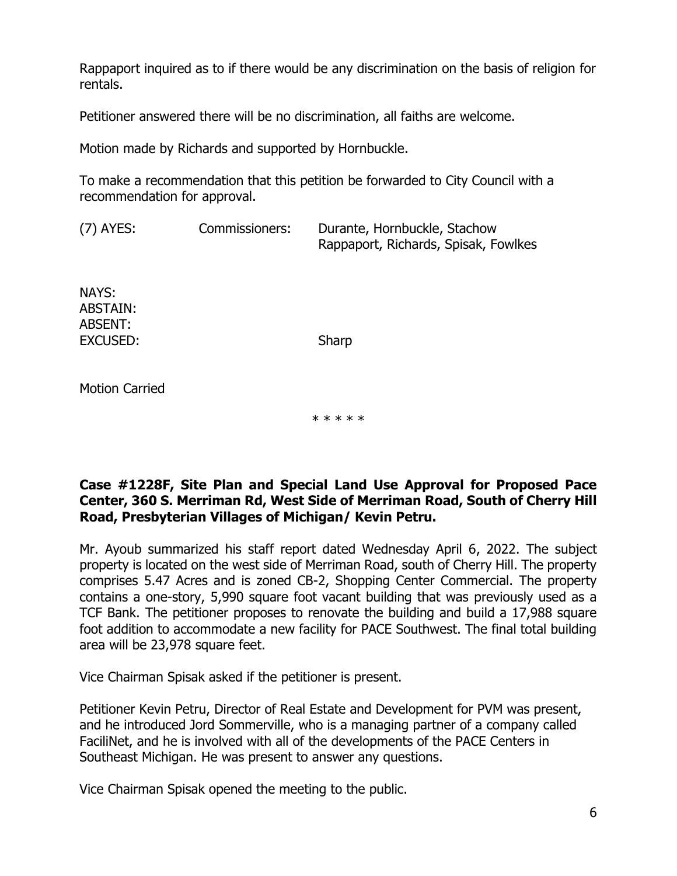Rappaport inquired as to if there would be any discrimination on the basis of religion for rentals.

Petitioner answered there will be no discrimination, all faiths are welcome.

Motion made by Richards and supported by Hornbuckle.

To make a recommendation that this petition be forwarded to City Council with a recommendation for approval.

(7) AYES: Commissioners: Durante, Hornbuckle, Stachow Rappaport, Richards, Spisak, Fowlkes

NAYS: ABSTAIN: ABSENT: EXCUSED: Sharp

Motion Carried

\* \* \* \* \*

### **Case #1228F, Site Plan and Special Land Use Approval for Proposed Pace Center, 360 S. Merriman Rd, West Side of Merriman Road, South of Cherry Hill Road, Presbyterian Villages of Michigan/ Kevin Petru.**

Mr. Ayoub summarized his staff report dated Wednesday April 6, 2022. The subject property is located on the west side of Merriman Road, south of Cherry Hill. The property comprises 5.47 Acres and is zoned CB-2, Shopping Center Commercial. The property contains a one-story, 5,990 square foot vacant building that was previously used as a TCF Bank. The petitioner proposes to renovate the building and build a 17,988 square foot addition to accommodate a new facility for PACE Southwest. The final total building area will be 23,978 square feet.

Vice Chairman Spisak asked if the petitioner is present.

Petitioner Kevin Petru, Director of Real Estate and Development for PVM was present, and he introduced Jord Sommerville, who is a managing partner of a company called FaciliNet, and he is involved with all of the developments of the PACE Centers in Southeast Michigan. He was present to answer any questions.

Vice Chairman Spisak opened the meeting to the public.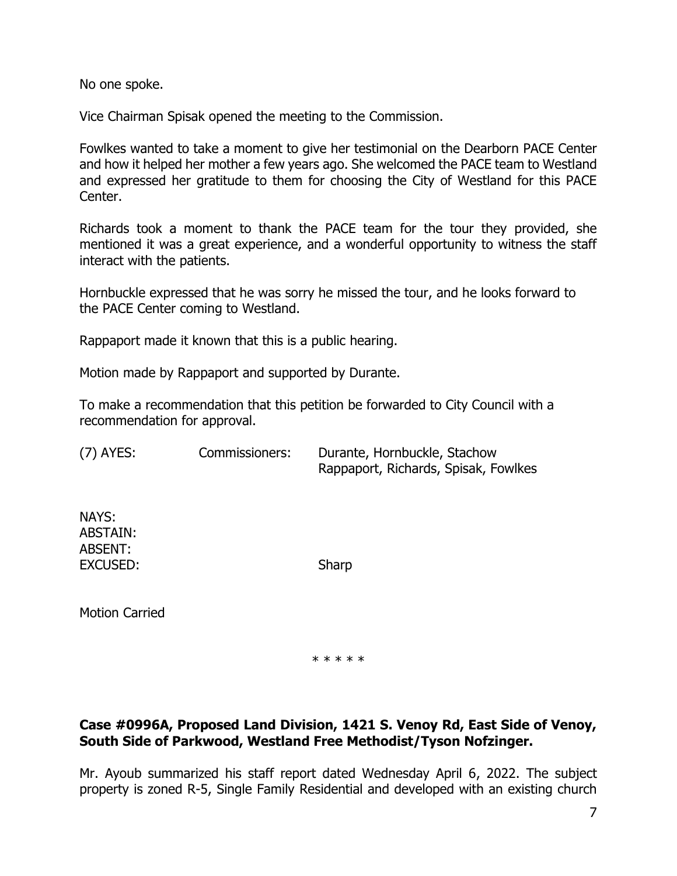No one spoke.

Vice Chairman Spisak opened the meeting to the Commission.

Fowlkes wanted to take a moment to give her testimonial on the Dearborn PACE Center and how it helped her mother a few years ago. She welcomed the PACE team to Westland and expressed her gratitude to them for choosing the City of Westland for this PACE Center.

Richards took a moment to thank the PACE team for the tour they provided, she mentioned it was a great experience, and a wonderful opportunity to witness the staff interact with the patients.

Hornbuckle expressed that he was sorry he missed the tour, and he looks forward to the PACE Center coming to Westland.

Rappaport made it known that this is a public hearing.

Motion made by Rappaport and supported by Durante.

To make a recommendation that this petition be forwarded to City Council with a recommendation for approval.

(7) AYES: Commissioners: Durante, Hornbuckle, Stachow Rappaport, Richards, Spisak, Fowlkes

NAYS: ABSTAIN: ABSENT: EXCUSED: Sharp

Motion Carried

\* \* \* \* \*

# **Case #0996A, Proposed Land Division, 1421 S. Venoy Rd, East Side of Venoy, South Side of Parkwood, Westland Free Methodist/Tyson Nofzinger.**

Mr. Ayoub summarized his staff report dated Wednesday April 6, 2022. The subject property is zoned R-5, Single Family Residential and developed with an existing church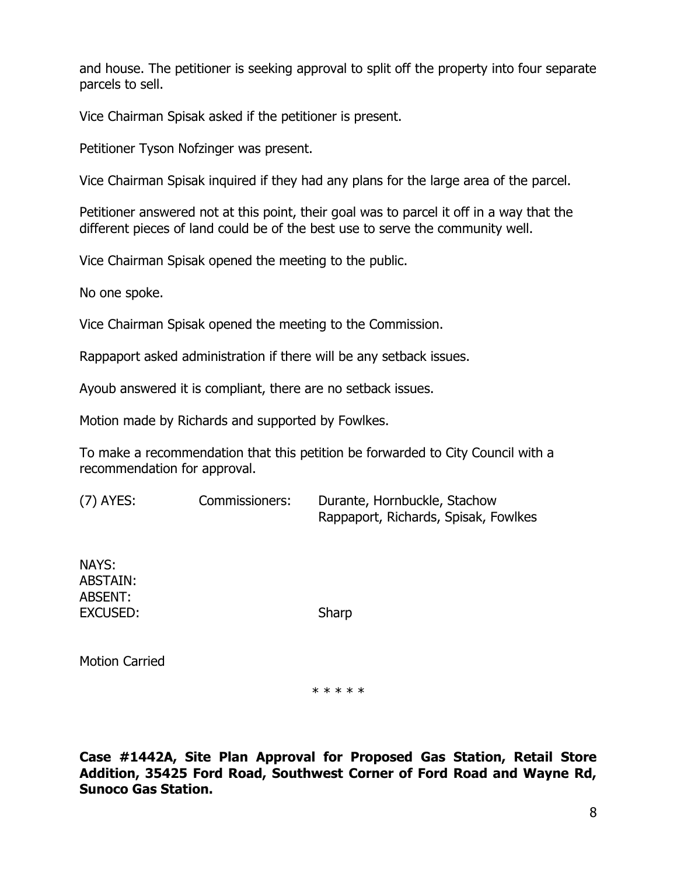and house. The petitioner is seeking approval to split off the property into four separate parcels to sell.

Vice Chairman Spisak asked if the petitioner is present.

Petitioner Tyson Nofzinger was present.

Vice Chairman Spisak inquired if they had any plans for the large area of the parcel.

Petitioner answered not at this point, their goal was to parcel it off in a way that the different pieces of land could be of the best use to serve the community well.

Vice Chairman Spisak opened the meeting to the public.

No one spoke.

Vice Chairman Spisak opened the meeting to the Commission.

Rappaport asked administration if there will be any setback issues.

Ayoub answered it is compliant, there are no setback issues.

Motion made by Richards and supported by Fowlkes.

To make a recommendation that this petition be forwarded to City Council with a recommendation for approval.

(7) AYES: Commissioners: Durante, Hornbuckle, Stachow Rappaport, Richards, Spisak, Fowlkes

NAYS: ABSTAIN: ABSENT: EXCUSED: Sharp

Motion Carried

\* \* \* \* \*

**Case #1442A, Site Plan Approval for Proposed Gas Station, Retail Store Addition, 35425 Ford Road, Southwest Corner of Ford Road and Wayne Rd, Sunoco Gas Station.**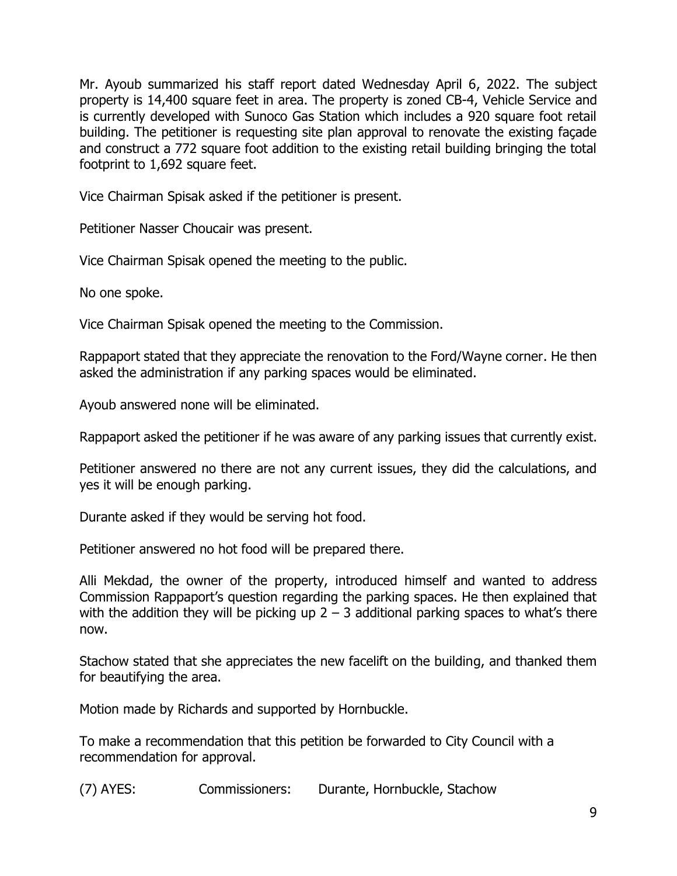Mr. Ayoub summarized his staff report dated Wednesday April 6, 2022. The subject property is 14,400 square feet in area. The property is zoned CB-4, Vehicle Service and is currently developed with Sunoco Gas Station which includes a 920 square foot retail building. The petitioner is requesting site plan approval to renovate the existing façade and construct a 772 square foot addition to the existing retail building bringing the total footprint to 1,692 square feet.

Vice Chairman Spisak asked if the petitioner is present.

Petitioner Nasser Choucair was present.

Vice Chairman Spisak opened the meeting to the public.

No one spoke.

Vice Chairman Spisak opened the meeting to the Commission.

Rappaport stated that they appreciate the renovation to the Ford/Wayne corner. He then asked the administration if any parking spaces would be eliminated.

Ayoub answered none will be eliminated.

Rappaport asked the petitioner if he was aware of any parking issues that currently exist.

Petitioner answered no there are not any current issues, they did the calculations, and yes it will be enough parking.

Durante asked if they would be serving hot food.

Petitioner answered no hot food will be prepared there.

Alli Mekdad, the owner of the property, introduced himself and wanted to address Commission Rappaport's question regarding the parking spaces. He then explained that with the addition they will be picking up  $2 - 3$  additional parking spaces to what's there now.

Stachow stated that she appreciates the new facelift on the building, and thanked them for beautifying the area.

Motion made by Richards and supported by Hornbuckle.

To make a recommendation that this petition be forwarded to City Council with a recommendation for approval.

(7) AYES: Commissioners: Durante, Hornbuckle, Stachow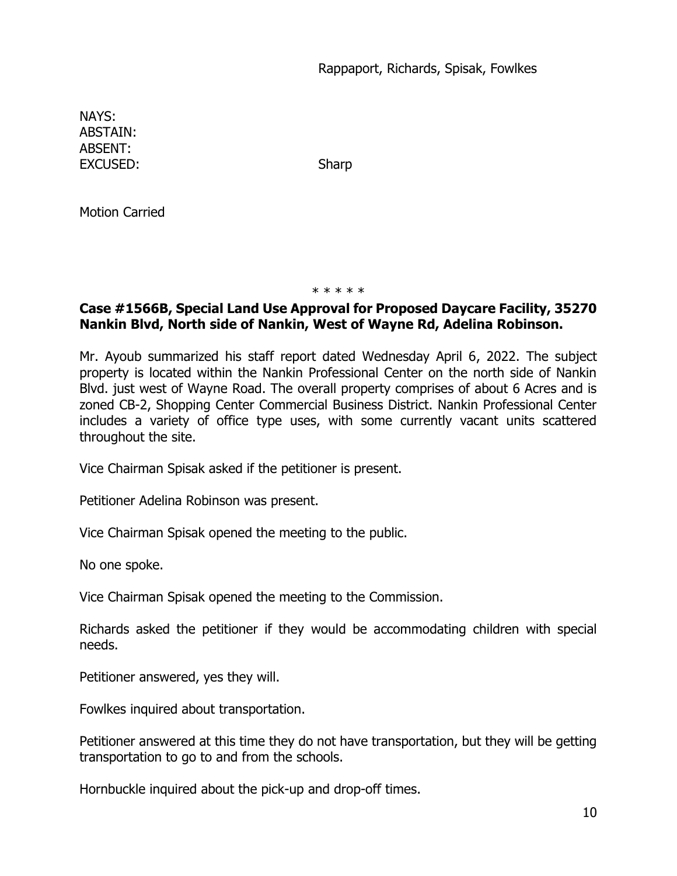NAYS: ABSTAIN: ABSENT: EXCUSED: Sharp

Motion Carried

\* \* \* \* \*

# **Case #1566B, Special Land Use Approval for Proposed Daycare Facility, 35270 Nankin Blvd, North side of Nankin, West of Wayne Rd, Adelina Robinson.**

Mr. Ayoub summarized his staff report dated Wednesday April 6, 2022. The subject property is located within the Nankin Professional Center on the north side of Nankin Blvd. just west of Wayne Road. The overall property comprises of about 6 Acres and is zoned CB-2, Shopping Center Commercial Business District. Nankin Professional Center includes a variety of office type uses, with some currently vacant units scattered throughout the site.

Vice Chairman Spisak asked if the petitioner is present.

Petitioner Adelina Robinson was present.

Vice Chairman Spisak opened the meeting to the public.

No one spoke.

Vice Chairman Spisak opened the meeting to the Commission.

Richards asked the petitioner if they would be accommodating children with special needs.

Petitioner answered, yes they will.

Fowlkes inquired about transportation.

Petitioner answered at this time they do not have transportation, but they will be getting transportation to go to and from the schools.

Hornbuckle inquired about the pick-up and drop-off times.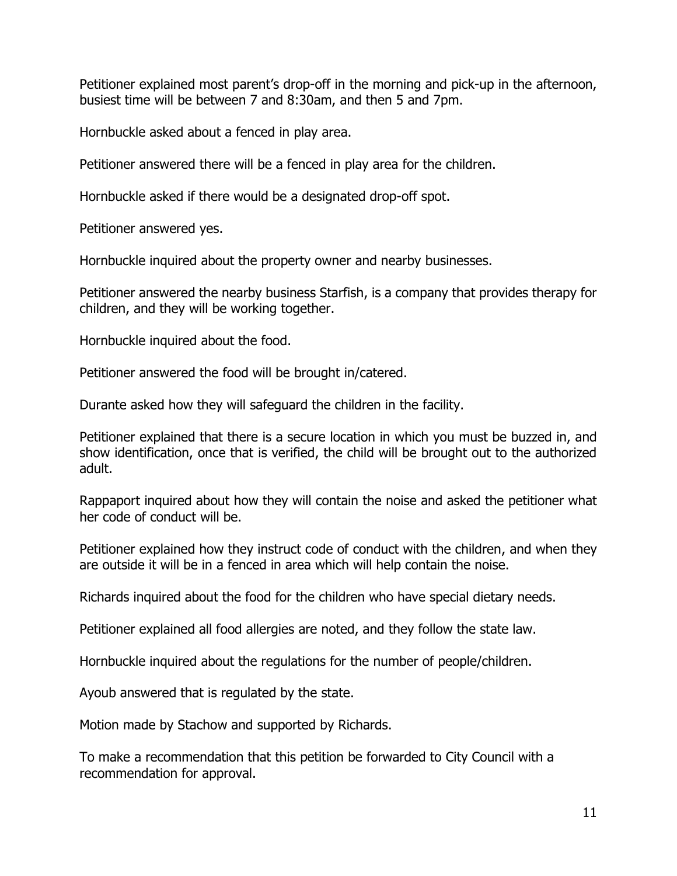Petitioner explained most parent's drop-off in the morning and pick-up in the afternoon, busiest time will be between 7 and 8:30am, and then 5 and 7pm.

Hornbuckle asked about a fenced in play area.

Petitioner answered there will be a fenced in play area for the children.

Hornbuckle asked if there would be a designated drop-off spot.

Petitioner answered yes.

Hornbuckle inquired about the property owner and nearby businesses.

Petitioner answered the nearby business Starfish, is a company that provides therapy for children, and they will be working together.

Hornbuckle inquired about the food.

Petitioner answered the food will be brought in/catered.

Durante asked how they will safeguard the children in the facility.

Petitioner explained that there is a secure location in which you must be buzzed in, and show identification, once that is verified, the child will be brought out to the authorized adult.

Rappaport inquired about how they will contain the noise and asked the petitioner what her code of conduct will be.

Petitioner explained how they instruct code of conduct with the children, and when they are outside it will be in a fenced in area which will help contain the noise.

Richards inquired about the food for the children who have special dietary needs.

Petitioner explained all food allergies are noted, and they follow the state law.

Hornbuckle inquired about the regulations for the number of people/children.

Ayoub answered that is regulated by the state.

Motion made by Stachow and supported by Richards.

To make a recommendation that this petition be forwarded to City Council with a recommendation for approval.